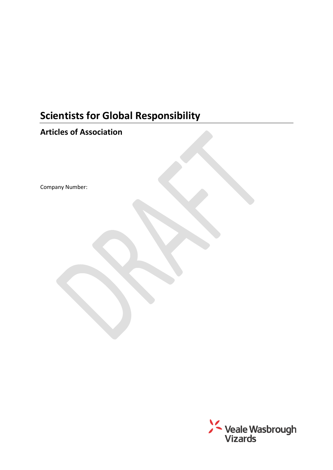# **Scientists for Global Responsibility**

## **Articles of Association**

Company Number:

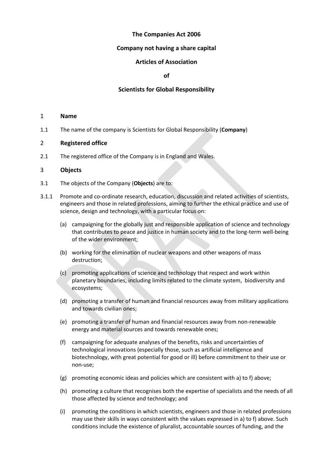## **The Companies Act 2006**

## **Company not having a share capital**

## **Articles of Association**

#### **of**

## **Scientists for Global Responsibility**

#### 1 **Name**

1.1 The name of the company is Scientists for Global Responsibility (**Company**)

## 2 **Registered office**

2.1 The registered office of the Company is in England and Wales.

## 3 **Objects**

- 3.1 The objects of the Company (**Objects**) are to:
- 3.1.1 Promote and co-ordinate research, education, discussion and related activities of scientists, engineers and those in related professions, aiming to further the ethical practice and use of science, design and technology, with a particular focus on:
	- (a) campaigning for the globally just and responsible application of science and technology that contributes to peace and justice in human society and to the long-term well-being of the wider environment;
	- (b) working for the elimination of nuclear weapons and other weapons of mass destruction;
	- (c) promoting applications of science and technology that respect and work within planetary boundaries, including limits related to the climate system, biodiversity and ecosystems;
	- (d) promoting a transfer of human and financial resources away from military applications and towards civilian ones;
	- (e) promoting a transfer of human and financial resources away from non-renewable energy and material sources and towards renewable ones;
	- (f) campaigning for adequate analyses of the benefits, risks and uncertainties of technological innovations (especially those, such as artificial intelligence and biotechnology, with great potential for good or ill) before commitment to their use or non-use;
	- (g) promoting economic ideas and policies which are consistent with a) to f) above;
	- (h) promoting a culture that recognises both the expertise of specialists and the needs of all those affected by science and technology; and
	- (i) promoting the conditions in which scientists, engineers and those in related professions may use their skills in ways consistent with the values expressed in a) to f) above. Such conditions include the existence of pluralist, accountable sources of funding, and the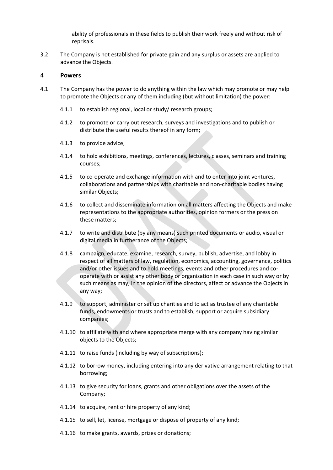ability of professionals in these fields to publish their work freely and without risk of reprisals.

3.2 The Company is not established for private gain and any surplus or assets are applied to advance the Objects.

## 4 **Powers**

- 4.1 The Company has the power to do anything within the law which may promote or may help to promote the Objects or any of them including (but without limitation) the power:
	- 4.1.1 to establish regional, local or study/ research groups;
	- 4.1.2 to promote or carry out research, surveys and investigations and to publish or distribute the useful results thereof in any form;
	- 4.1.3 to provide advice;
	- 4.1.4 to hold exhibitions, meetings, conferences, lectures, classes, seminars and training courses;
	- 4.1.5 to co-operate and exchange information with and to enter into joint ventures, collaborations and partnerships with charitable and non-charitable bodies having similar Objects;
	- 4.1.6 to collect and disseminate information on all matters affecting the Objects and make representations to the appropriate authorities, opinion formers or the press on these matters;
	- 4.1.7 to write and distribute (by any means) such printed documents or audio, visual or digital media in furtherance of the Objects;
	- 4.1.8 campaign, educate, examine, research, survey, publish, advertise, and lobby in respect of all matters of law, regulation, economics, accounting, governance, politics and/or other issues and to hold meetings, events and other procedures and cooperate with or assist any other body or organisation in each case in such way or by such means as may, in the opinion of the directors, affect or advance the Objects in any way;
	- 4.1.9 to support, administer or set up charities and to act as trustee of any charitable funds, endowments or trusts and to establish, support or acquire subsidiary companies;
	- 4.1.10 to affiliate with and where appropriate merge with any company having similar objects to the Objects;
	- 4.1.11 to raise funds (including by way of subscriptions);
	- 4.1.12 to borrow money, including entering into any derivative arrangement relating to that borrowing;
	- 4.1.13 to give security for loans, grants and other obligations over the assets of the Company;
	- 4.1.14 to acquire, rent or hire property of any kind;
	- 4.1.15 to sell, let, license, mortgage or dispose of property of any kind;
	- 4.1.16 to make grants, awards, prizes or donations;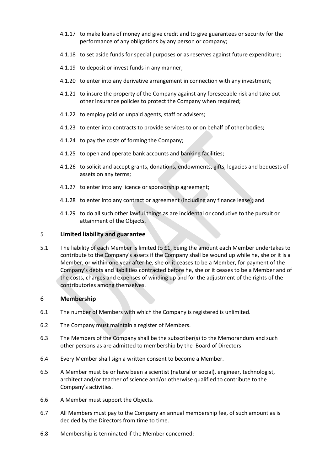- 4.1.17 to make loans of money and give credit and to give guarantees or security for the performance of any obligations by any person or company;
- 4.1.18 to set aside funds for special purposes or as reserves against future expenditure;
- 4.1.19 to deposit or invest funds in any manner;
- 4.1.20 to enter into any derivative arrangement in connection with any investment;
- 4.1.21 to insure the property of the Company against any foreseeable risk and take out other insurance policies to protect the Company when required;
- 4.1.22 to employ paid or unpaid agents, staff or advisers;
- 4.1.23 to enter into contracts to provide services to or on behalf of other bodies;
- 4.1.24 to pay the costs of forming the Company;
- 4.1.25 to open and operate bank accounts and banking facilities;
- 4.1.26 to solicit and accept grants, donations, endowments, gifts, legacies and bequests of assets on any terms;
- 4.1.27 to enter into any licence or sponsorship agreement;
- 4.1.28 to enter into any contract or agreement (including any finance lease); and
- 4.1.29 to do all such other lawful things as are incidental or conducive to the pursuit or attainment of the Objects.

## 5 **Limited liability and guarantee**

5.1 The liability of each Member is limited to £1, being the amount each Member undertakes to contribute to the Company's assets if the Company shall be wound up while he, she or it is a Member, or within one year after he, she or it ceases to be a Member, for payment of the Company's debts and liabilities contracted before he, she or it ceases to be a Member and of the costs, charges and expenses of winding up and for the adjustment of the rights of the contributories among themselves.

## 6 **Membership**

- 6.1 The number of Members with which the Company is registered is unlimited.
- 6.2 The Company must maintain a register of Members.
- 6.3 The Members of the Company shall be the subscriber(s) to the Memorandum and such other persons as are admitted to membership by the Board of Directors
- 6.4 Every Member shall sign a written consent to become a Member.
- 6.5 A Member must be or have been a scientist (natural or social), engineer, technologist, architect and/or teacher of science and/or otherwise qualified to contribute to the Company's activities.
- 6.6 A Member must support the Objects.
- 6.7 All Members must pay to the Company an annual membership fee, of such amount as is decided by the Directors from time to time.
- 6.8 Membership is terminated if the Member concerned: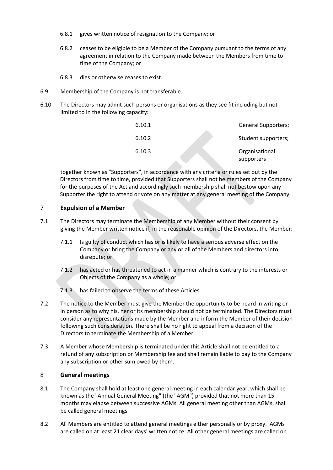- 6.8.1 gives written notice of resignation to the Company; or
- 6.8.2 ceases to be eligible to be a Member of the Company pursuant to the terms of any agreement in relation to the Company made between the Members from time to time of the Company; or
- 6.8.3 dies or otherwise ceases to exist.
- 6.9 Membership of the Company is not transferable.
- 6.10 The Directors may admit such persons or organisations as they see fit including but not limited to in the following capacity:

| 6.10.1 | <b>General Supporters;</b>   |
|--------|------------------------------|
| 6.10.2 | Student supporters;          |
| 6.10.3 | Organisational<br>supporters |

together known as "Supporters", in accordance with any criteria or rules set out by the Directors from time to time, provided that Supporters shall not be members of the Company for the purposes of the Act and accordingly such membership shall not bestow upon any Supporter the right to attend or vote on any matter at any general meeting of the Company.

## 7 **Expulsion of a Member**

- 7.1 The Directors may terminate the Membership of any Member without their consent by giving the Member written notice if, in the reasonable opinion of the Directors, the Member:
	- 7.1.1 Is guilty of conduct which has or is likely to have a serious adverse effect on the Company or bring the Company or any or all of the Members and directors into disrepute; or
	- 7.1.2 has acted or has threatened to act in a manner which is contrary to the interests or Objects of the Company as a whole; or
	- 7.1.3 has failed to observe the terms of these Articles.
- 7.2 The notice to the Member must give the Member the opportunity to be heard in writing or in person as to why his, her or its membership should not be terminated. The Directors must consider any representations made by the Member and inform the Member of their decision following such consideration. There shall be no right to appeal from a decision of the Directors to terminate the Membership of a Member.
- 7.3 A Member whose Membership is terminated under this Article shall not be entitled to a refund of any subscription or Membership fee and shall remain liable to pay to the Company any subscription or other sum owed by them.

## 8 **General meetings**

- 8.1 The Company shall hold at least one general meeting in each calendar year, which shall be known as the "Annual General Meeting" (the "AGM") provided that not more than 15 months may elapse between successive AGMs. All general meeting other than AGMs, shall be called general meetings.
- 8.2 All Members are entitled to attend general meetings either personally or by proxy. AGMs are called on at least 21 clear days' written notice. All other general meetings are called on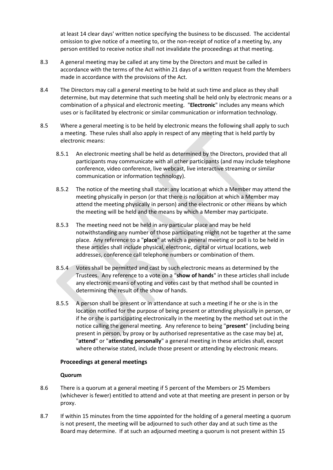at least 14 clear days' written notice specifying the business to be discussed. The accidental omission to give notice of a meeting to, or the non-receipt of notice of a meeting by, any person entitled to receive notice shall not invalidate the proceedings at that meeting.

- 8.3 A general meeting may be called at any time by the Directors and must be called in accordance with the terms of the Act within 21 days of a written request from the Members made in accordance with the provisions of the Act.
- 8.4 The Directors may call a general meeting to be held at such time and place as they shall determine, but may determine that such meeting shall be held only by electronic means or a combination of a physical and electronic meeting. "**Electronic**" includes any means which uses or is facilitated by electronic or similar communication or information technology.
- 8.5 Where a general meeting is to be held by electronic means the following shall apply to such a meeting. These rules shall also apply in respect of any meeting that is held partly by electronic means:
	- 8.5.1 An electronic meeting shall be held as determined by the Directors, provided that all participants may communicate with all other participants (and may include telephone conference, video conference, live webcast, live interactive streaming or similar communication or information technology).
	- 8.5.2 The notice of the meeting shall state: any location at which a Member may attend the meeting physically in person (or that there is no location at which a Member may attend the meeting physically in person) and the electronic or other means by which the meeting will be held and the means by which a Member may participate.
	- 8.5.3 The meeting need not be held in any particular place and may be held notwithstanding any number of those participating might not be together at the same place. Any reference to a "**place**" at which a general meeting or poll is to be held in these articles shall include physical, electronic, digital or virtual locations, web addresses, conference call telephone numbers or combination of them.
	- 8.5.4 Votes shall be permitted and cast by such electronic means as determined by the Trustees. Any reference to a vote on a "**show of hands**" in these articles shall include any electronic means of voting and votes cast by that method shall be counted in determining the result of the show of hands.
	- 8.5.5 A person shall be present or in attendance at such a meeting if he or she is in the location notified for the purpose of being present or attending physically in person, or if he or she is participating electronically in the meeting by the method set out in the notice calling the general meeting. Any reference to being "**present**" (including being present in person, by proxy or by authorised representative as the case may be) at, "**attend**" or "**attending personally**" a general meeting in these articles shall, except where otherwise stated, include those present or attending by electronic means.

## **Proceedings at general meetings**

## **Quorum**

- 8.6 There is a quorum at a general meeting if 5 percent of the Members or 25 Members (whichever is fewer) entitled to attend and vote at that meeting are present in person or by proxy.
- 8.7 If within 15 minutes from the time appointed for the holding of a general meeting a quorum is not present, the meeting will be adjourned to such other day and at such time as the Board may determine. If at such an adjourned meeting a quorum is not present within 15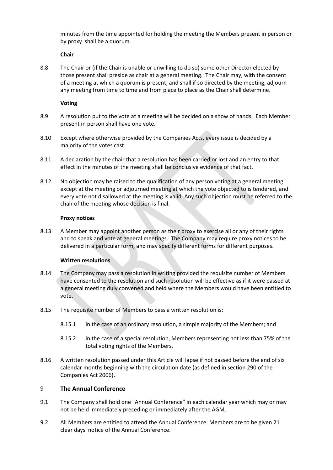minutes from the time appointed for holding the meeting the Members present in person or by proxy shall be a quorum.

## **Chair**

8.8 The Chair or (if the Chair is unable or unwilling to do so) some other Director elected by those present shall preside as chair at a general meeting. The Chair may, with the consent of a meeting at which a quorum is present, and shall if so directed by the meeting, adjourn any meeting from time to time and from place to place as the Chair shall determine.

## **Voting**

- 8.9 A resolution put to the vote at a meeting will be decided on a show of hands. Each Member present in person shall have one vote.
- 8.10 Except where otherwise provided by the Companies Acts, every issue is decided by a majority of the votes cast.
- 8.11 A declaration by the chair that a resolution has been carried or lost and an entry to that effect in the minutes of the meeting shall be conclusive evidence of that fact.
- 8.12 No objection may be raised to the qualification of any person voting at a general meeting except at the meeting or adjourned meeting at which the vote objected to is tendered, and every vote not disallowed at the meeting is valid. Any such objection must be referred to the chair of the meeting whose decision is final.

## **Proxy notices**

8.13 A Member may appoint another person as their proxy to exercise all or any of their rights and to speak and vote at general meetings. The Company may require proxy notices to be delivered in a particular form, and may specify different forms for different purposes.

## **Written resolutions**

- 8.14 The Company may pass a resolution in writing provided the requisite number of Members have consented to the resolution and such resolution will be effective as if it were passed at a general meeting duly convened and held where the Members would have been entitled to vote.
- 8.15 The requisite number of Members to pass a written resolution is:
	- 8.15.1 in the case of an ordinary resolution, a simple majority of the Members; and
	- 8.15.2 in the case of a special resolution, Members representing not less than 75% of the total voting rights of the Members.
- 8.16 A written resolution passed under this Article will lapse if not passed before the end of six calendar months beginning with the circulation date (as defined in section 290 of the Companies Act 2006).

## 9 **The Annual Conference**

- 9.1 The Company shall hold one "Annual Conference" in each calendar year which may or may not be held immediately preceding or immediately after the AGM.
- 9.2 All Members are entitled to attend the Annual Conference. Members are to be given 21 clear days' notice of the Annual Conference.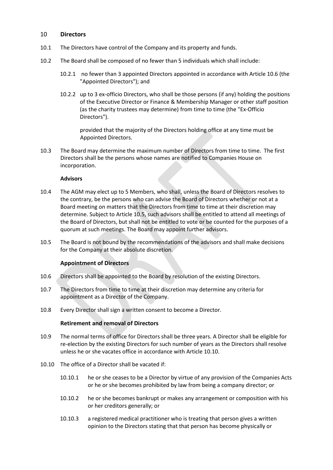## 10 **Directors**

- 10.1 The Directors have control of the Company and its property and funds.
- 10.2 The Board shall be composed of no fewer than 5 individuals which shall include:
	- 10.2.1 no fewer than 3 appointed Directors appointed in accordance with Article 10.6 (the "Appointed Directors"); and
	- 10.2.2 up to 3 ex-officio Directors, who shall be those persons (if any) holding the positions of the Executive Director or Finance & Membership Manager or other staff position (as the charity trustees may determine) from time to time (the "Ex-Officio Directors").

provided that the majority of the Directors holding office at any time must be Appointed Directors.

10.3 The Board may determine the maximum number of Directors from time to time. The first Directors shall be the persons whose names are notified to Companies House on incorporation.

#### **Advisors**

- 10.4 The AGM may elect up to 5 Members, who shall, unless the Board of Directors resolves to the contrary, be the persons who can advise the Board of Directors whether or not at a Board meeting on matters that the Directors from time to time at their discretion may determine. Subject to Article 10.5, such advisors shall be entitled to attend all meetings of the Board of Directors, but shall not be entitled to vote or be counted for the purposes of a quorum at such meetings. The Board may appoint further advisors.
- 10.5 The Board is not bound by the recommendations of the advisors and shall make decisions for the Company at their absolute discretion.

## **Appointment of Directors**

- 10.6 Directors shall be appointed to the Board by resolution of the existing Directors.
- 10.7 The Directors from time to time at their discretion may determine any criteria for appointment as a Director of the Company.
- 10.8 Every Director shall sign a written consent to become a Director.

#### **Retirement and removal of Directors**

- 10.9 The normal terms of office for Directors shall be three years. A Director shall be eligible for re-election by the existing Directors for such number of years as the Directors shall resolve unless he or she vacates office in accordance with Article [10.10.](#page-7-0)
- <span id="page-7-0"></span>10.10 The office of a Director shall be vacated if:
	- 10.10.1 he or she ceases to be a Director by virtue of any provision of the Companies Acts or he or she becomes prohibited by law from being a company director; or
	- 10.10.2 he or she becomes bankrupt or makes any arrangement or composition with his or her creditors generally; or
	- 10.10.3 a registered medical practitioner who is treating that person gives a written opinion to the Directors stating that that person has become physically or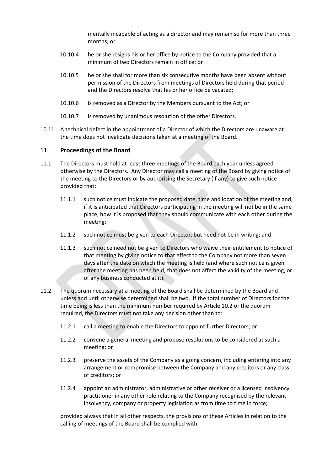mentally incapable of acting as a director and may remain so for more than three months; or

- 10.10.4 he or she resigns his or her office by notice to the Company provided that a minimum of two Directors remain in office; or
- 10.10.5 he or she shall for more than six consecutive months have been absent without permission of the Directors from meetings of Directors held during that period and the Directors resolve that his or her office be vacated;
- 10.10.6 is removed as a Director by the Members pursuant to the Act; or
- 10.10.7 is removed by unanimous resolution of the other Directors.
- 10.11 A technical defect in the appointment of a Director of which the Directors are unaware at the time does not invalidate decisions taken at a meeting of the Board.

## 11 **Proceedings of the Board**

- 11.1 The Directors must hold at least three meetings of the Board each year unless agreed otherwise by the Directors. Any Director may call a meeting of the Board by giving notice of the meeting to the Directors or by authorising the Secretary (if any) to give such notice provided that:
	- 11.1.1 such notice must indicate the proposed date, time and location of the meeting and, if it is anticipated that Directors participating in the meeting will not be in the same place, how it is proposed that they should communicate with each other during the meeting;
	- 11.1.2 such notice must be given to each Director, but need not be in writing; and
	- 11.1.3 such notice need not be given to Directors who waive their entitlement to notice of that meeting by giving notice to that effect to the Company not more than seven days after the date on which the meeting is held (and where such notice is given after the meeting has been held, that does not affect the validity of the meeting, or of any business conducted at it).
- 11.2 The quorum necessary at a meeting of the Board shall be determined by the Board and unless and until otherwise determined shall be two. If the total number of Directors for the time being is less than the minimum number required by Article 10.2 or the quorum required, the Directors must not take any decision other than to:
	- 11.2.1 call a meeting to enable the Directors to appoint further Directors; or
	- 11.2.2 convene a general meeting and propose resolutions to be considered at such a meeting; or
	- 11.2.3 preserve the assets of the Company as a going concern, including entering into any arrangement or compromise between the Company and any creditors or any class of creditors; or
	- 11.2.4 appoint an administrator, administrative or other receiver or a licensed insolvency practitioner in any other role relating to the Company recognised by the relevant insolvency, company or property legislation as from time to time in force;

provided always that in all other respects, the provisions of these Articles in relation to the calling of meetings of the Board shall be complied with.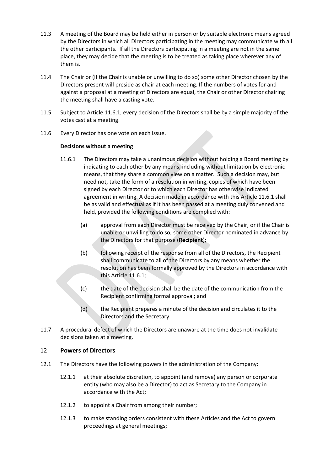- 11.3 A meeting of the Board may be held either in person or by suitable electronic means agreed by the Directors in which all Directors participating in the meeting may communicate with all the other participants. If all the Directors participating in a meeting are not in the same place, they may decide that the meeting is to be treated as taking place wherever any of them is.
- 11.4 The Chair or (if the Chair is unable or unwilling to do so) some other Director chosen by the Directors present will preside as chair at each meeting. If the numbers of votes for and against a proposal at a meeting of Directors are equal, the Chair or other Director chairing the meeting shall have a casting vote.
- 11.5 Subject to Article [11.6.1,](#page-9-0) every decision of the Directors shall be by a simple majority of the votes cast at a meeting.
- 11.6 Every Director has one vote on each issue.

## **Decisions without a meeting**

- <span id="page-9-0"></span>11.6.1 The Directors may take a unanimous decision without holding a Board meeting by indicating to each other by any means, including without limitation by electronic means, that they share a common view on a matter. Such a decision may, but need not, take the form of a resolution in writing, copies of which have been signed by each Director or to which each Director has otherwise indicated agreement in writing. A decision made in accordance with this Article 11.6.1 shall be as valid and effectual as if it has been passed at a meeting duly convened and held, provided the following conditions are complied with:
	- (a) approval from each Director must be received by the Chair, or if the Chair is unable or unwilling to do so, some other Director nominated in advance by the Directors for that purpose (**Recipient**);
	- (b) following receipt of the response from all of the Directors, the Recipient shall communicate to all of the Directors by any means whether the resolution has been formally approved by the Directors in accordance with this Article [11.6.1;](#page-9-0)
	- (c) the date of the decision shall be the date of the communication from the Recipient confirming formal approval; and
	- (d) the Recipient prepares a minute of the decision and circulates it to the Directors and the Secretary.
- 11.7 A procedural defect of which the Directors are unaware at the time does not invalidate decisions taken at a meeting.

## 12 **Powers of Directors**

- 12.1 The Directors have the following powers in the administration of the Company:
	- 12.1.1 at their absolute discretion, to appoint (and remove) any person or corporate entity (who may also be a Director) to act as Secretary to the Company in accordance with the Act;
	- 12.1.2 to appoint a Chair from among their number;
	- 12.1.3 to make standing orders consistent with these Articles and the Act to govern proceedings at general meetings;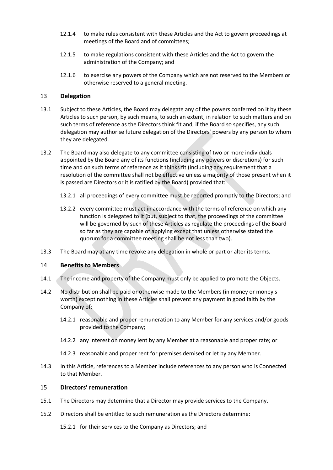- 12.1.4 to make rules consistent with these Articles and the Act to govern proceedings at meetings of the Board and of committees;
- 12.1.5 to make regulations consistent with these Articles and the Act to govern the administration of the Company; and
- 12.1.6 to exercise any powers of the Company which are not reserved to the Members or otherwise reserved to a general meeting.

## 13 **Delegation**

- 13.1 Subject to these Articles, the Board may delegate any of the powers conferred on it by these Articles to such person, by such means, to such an extent, in relation to such matters and on such terms of reference as the Directors think fit and, if the Board so specifies, any such delegation may authorise future delegation of the Directors' powers by any person to whom they are delegated.
- 13.2 The Board may also delegate to any committee consisting of two or more individuals appointed by the Board any of its functions (including any powers or discretions) for such time and on such terms of reference as it thinks fit (including any requirement that a resolution of the committee shall not be effective unless a majority of those present when it is passed are Directors or it is ratified by the Board) provided that:
	- 13.2.1 all proceedings of every committee must be reported promptly to the Directors; and
	- 13.2.2 every committee must act in accordance with the terms of reference on which any function is delegated to it (but, subject to that, the proceedings of the committee will be governed by such of these Articles as regulate the proceedings of the Board so far as they are capable of applying except that unless otherwise stated the quorum for a committee meeting shall be not less than two).
- 13.3 The Board may at any time revoke any delegation in whole or part or alter its terms.

## 14 **Benefits to Members**

- 14.1 The income and property of the Company must only be applied to promote the Objects.
- 14.2 No distribution shall be paid or otherwise made to the Members (in money or money's worth) except nothing in these Articles shall prevent any payment in good faith by the Company of:
	- 14.2.1 reasonable and proper remuneration to any Member for any services and/or goods provided to the Company;
	- 14.2.2 any interest on money lent by any Member at a reasonable and proper rate; or
	- 14.2.3 reasonable and proper rent for premises demised or let by any Member.
- 14.3 In this Article, references to a Member include references to any person who is Connected to that Member.

## 15 **Directors' remuneration**

- 15.1 The Directors may determine that a Director may provide services to the Company.
- 15.2 Directors shall be entitled to such remuneration as the Directors determine:
	- 15.2.1 for their services to the Company as Directors; and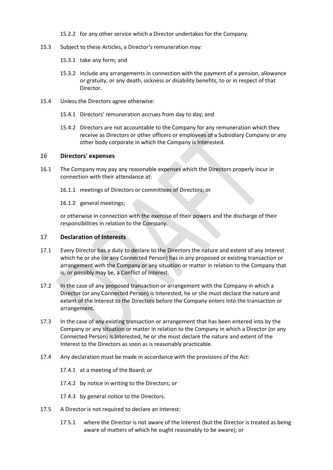15.2.2 for any other service which a Director undertakes for the Company.

- 15.3 Subject to these Articles, a Director's remuneration may:
	- 15.3.1 take any form; and
	- 15.3.2 include any arrangements in connection with the payment of a pension, allowance or gratuity, or any death, sickness or disability benefits, to or in respect of that Director.
- 15.4 Unless the Directors agree otherwise:
	- 15.4.1 Directors' remuneration accrues from day to day; and
	- 15.4.2 Directors are not accountable to the Company for any remuneration which they receive as Directors or other officers or employees of a Subsidiary Company or any other body corporate in which the Company is Interested.

#### 16 **Directors' expenses**

- 16.1 The Company may pay any reasonable expenses which the Directors properly incur in connection with their attendance at:
	- 16.1.1 meetings of Directors or committees of Directors; or

16.1.2 general meetings;

or otherwise in connection with the exercise of their powers and the discharge of their responsibilities in relation to the Company.

## 17 **Declaration of Interests**

- 17.1 Every Director has a duty to declare to the Directors the nature and extent of any Interest which he or she (or any Connected Person) has in any proposed or existing transaction or arrangement with the Company or any situation or matter in relation to the Company that is, or possibly may be, a Conflict of Interest.
- 17.2 In the case of any proposed transaction or arrangement with the Company in which a Director (or any Connected Person) is Interested, he or she must declare the nature and extent of the Interest to the Directors before the Company enters into the transaction or arrangement.
- 17.3 In the case of any existing transaction or arrangement that has been entered into by the Company or any situation or matter in relation to the Company in which a Director (or any Connected Person) is Interested, he or she must declare the nature and extent of the Interest to the Directors as soon as is reasonably practicable.
- 17.4 Any declaration must be made in accordance with the provisions of the Act:
	- 17.4.1 at a meeting of the Board; or
	- 17.4.2 by notice in writing to the Directors; or
	- 17.4.3 by general notice to the Directors.
- 17.5 A Director is not required to declare an Interest:
	- 17.5.1 where the Director is not aware of the Interest (but the Director is treated as being aware of matters of which he ought reasonably to be aware); or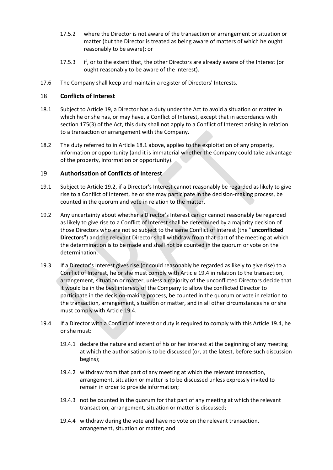- 17.5.2 where the Director is not aware of the transaction or arrangement or situation or matter (but the Director is treated as being aware of matters of which he ought reasonably to be aware); or
- 17.5.3 if, or to the extent that, the other Directors are already aware of the Interest (or ought reasonably to be aware of the Interest).
- 17.6 The Company shall keep and maintain a register of Directors' Interests.

## 18 **Conflicts of Interest**

- <span id="page-12-1"></span>18.1 Subject to Article [19,](#page-12-0) a Director has a duty under the Act to avoid a situation or matter in which he or she has, or may have, a Conflict of Interest, except that in accordance with section 175(3) of the Act, this duty shall not apply to a Conflict of Interest arising in relation to a transaction or arrangement with the Company.
- 18.2 The duty referred to in Article [18.1](#page-12-1) above, applies to the exploitation of any property, information or opportunity (and it is immaterial whether the Company could take advantage of the property, information or opportunity).

## <span id="page-12-0"></span>19 **Authorisation of Conflicts of Interest**

- 19.1 Subject to Article [19.2,](#page-12-2) if a Director's Interest cannot reasonably be regarded as likely to give rise to a Conflict of Interest, he or she may participate in the decision-making process, be counted in the quorum and vote in relation to the matter.
- <span id="page-12-2"></span>19.2 Any uncertainty about whether a Director's Interest can or cannot reasonably be regarded as likely to give rise to a Conflict of Interest shall be determined by a majority decision of those Directors who are not so subject to the same Conflict of Interest (the "**unconflicted Directors**") and the relevant Director shall withdraw from that part of the meeting at which the determination is to be made and shall not be counted in the quorum or vote on the determination.
- 19.3 If a Director's Interest gives rise (or could reasonably be regarded as likely to give rise) to a Conflict of Interest, he or she must comply with Article [19.4](#page-12-3) in relation to the transaction, arrangement, situation or matter, unless a majority of the unconflicted Directors decide that it would be in the best interests of the Company to allow the conflicted Director to participate in the decision-making process, be counted in the quorum or vote in relation to the transaction, arrangement, situation or matter, and in all other circumstances he or she must comply with Article [19.4.](#page-12-3)
- <span id="page-12-3"></span>19.4 If a Director with a Conflict of Interest or duty is required to comply with this Article [19.4,](#page-12-3) he or she must:
	- 19.4.1 declare the nature and extent of his or her interest at the beginning of any meeting at which the authorisation is to be discussed (or, at the latest, before such discussion begins);
	- 19.4.2 withdraw from that part of any meeting at which the relevant transaction, arrangement, situation or matter is to be discussed unless expressly invited to remain in order to provide information;
	- 19.4.3 not be counted in the quorum for that part of any meeting at which the relevant transaction, arrangement, situation or matter is discussed;
	- 19.4.4 withdraw during the vote and have no vote on the relevant transaction, arrangement, situation or matter; and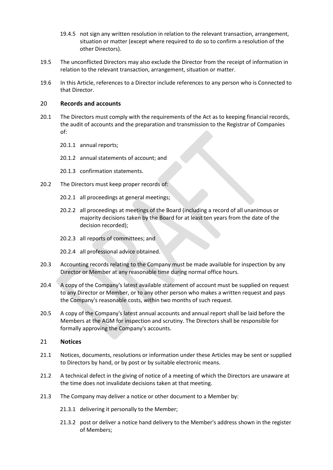- 19.4.5 not sign any written resolution in relation to the relevant transaction, arrangement, situation or matter (except where required to do so to confirm a resolution of the other Directors).
- 19.5 The unconflicted Directors may also exclude the Director from the receipt of information in relation to the relevant transaction, arrangement, situation or matter.
- 19.6 In this Article, references to a Director include references to any person who is Connected to that Director.

## 20 **Records and accounts**

- 20.1 The Directors must comply with the requirements of the Act as to keeping financial records, the audit of accounts and the preparation and transmission to the Registrar of Companies of:
	- 20.1.1 annual reports;
	- 20.1.2 annual statements of account; and
	- 20.1.3 confirmation statements.
- 20.2 The Directors must keep proper records of:
	- 20.2.1 all proceedings at general meetings;
	- 20.2.2 all proceedings at meetings of the Board (including a record of all unanimous or majority decisions taken by the Board for at least ten years from the date of the decision recorded);
	- 20.2.3 all reports of committees; and
	- 20.2.4 all professional advice obtained.
- 20.3 Accounting records relating to the Company must be made available for inspection by any Director or Member at any reasonable time during normal office hours.
- 20.4 A copy of the Company's latest available statement of account must be supplied on request to any Director or Member, or to any other person who makes a written request and pays the Company's reasonable costs, within two months of such request.
- 20.5 A copy of the Company's latest annual accounts and annual report shall be laid before the Members at the AGM for inspection and scrutiny. The Directors shall be responsible for formally approving the Company's accounts.

## 21 **Notices**

- 21.1 Notices, documents, resolutions or information under these Articles may be sent or supplied to Directors by hand, or by post or by suitable electronic means.
- 21.2 A technical defect in the giving of notice of a meeting of which the Directors are unaware at the time does not invalidate decisions taken at that meeting.
- <span id="page-13-1"></span><span id="page-13-0"></span>21.3 The Company may deliver a notice or other document to a Member by:
	- 21.3.1 delivering it personally to the Member;
	- 21.3.2 post or deliver a notice hand delivery to the Member's address shown in the register of Members;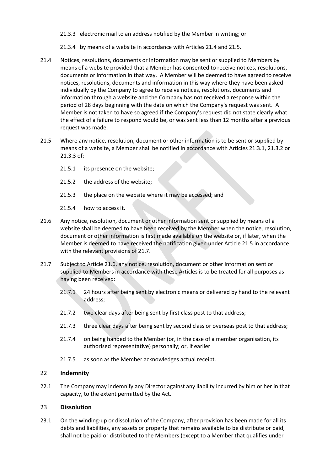- <span id="page-14-2"></span>21.3.3 electronic mail to an address notified by the Member in writing; or
- 21.3.4 by means of a website in accordance with Articles [21.4](#page-14-0) and [21.5.](#page-14-1)
- <span id="page-14-0"></span>21.4 Notices, resolutions, documents or information may be sent or supplied to Members by means of a website provided that a Member has consented to receive notices, resolutions, documents or information in that way. A Member will be deemed to have agreed to receive notices, resolutions, documents and information in this way where they have been asked individually by the Company to agree to receive notices, resolutions, documents and information through a website and the Company has not received a response within the period of 28 days beginning with the date on which the Company's request was sent. A Member is not taken to have so agreed if the Company's request did not state clearly what the effect of a failure to respond would be, or was sent less than 12 months after a previous request was made.
- <span id="page-14-1"></span>21.5 Where any notice, resolution, document or other information is to be sent or supplied by means of a website, a Member shall be notified in accordance with Articles [21.3.1,](#page-13-0) [21.3.2](#page-13-1) or [21.3.3](#page-14-2) of:
	- 21.5.1 its presence on the website;
	- 21.5.2 the address of the website;
	- 21.5.3 the place on the website where it may be accessed; and
	- 21.5.4 how to access it.
- <span id="page-14-4"></span>21.6 Any notice, resolution, document or other information sent or supplied by means of a website shall be deemed to have been received by the Member when the notice, resolution, document or other information is first made available on the website or, if later, when the Member is deemed to have received the notification given under Article [21.5](#page-14-1) in accordance with the relevant provisions of [21.7.](#page-14-3)
- <span id="page-14-3"></span>21.7 Subject to Article [21.6,](#page-14-4) any notice, resolution, document or other information sent or supplied to Members in accordance with these Articles is to be treated for all purposes as having been received:
	- 21.7.1 24 hours after being sent by electronic means or delivered by hand to the relevant address;
	- 21.7.2 two clear days after being sent by first class post to that address;
	- 21.7.3 three clear days after being sent by second class or overseas post to that address;
	- 21.7.4 on being handed to the Member (or, in the case of a member organisation, its authorised representative) personally; or, if earlier
	- 21.7.5 as soon as the Member acknowledges actual receipt.

## 22 **Indemnity**

22.1 The Company may indemnify any Director against any liability incurred by him or her in that capacity, to the extent permitted by the Act.

## 23 **Dissolution**

23.1 On the winding-up or dissolution of the Company, after provision has been made for all its debts and liabilities, any assets or property that remains available to be distribute or paid, shall not be paid or distributed to the Members (except to a Member that qualifies under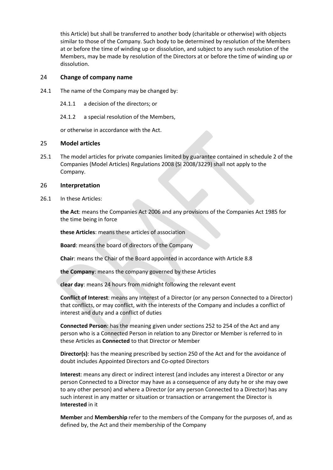this Article) but shall be transferred to another body (charitable or otherwise) with objects similar to those of the Company. Such body to be determined by resolution of the Members at or before the time of winding up or dissolution, and subject to any such resolution of the Members, may be made by resolution of the Directors at or before the time of winding up or dissolution.

## 24 **Change of company name**

- 24.1 The name of the Company may be changed by:
	- 24.1.1 a decision of the directors; or
	- 24.1.2 a special resolution of the Members,

or otherwise in accordance with the Act.

## 25 **Model articles**

25.1 The model articles for private companies limited by guarantee contained in schedule 2 of the Companies (Model Articles) Regulations 2008 (SI 2008/3229) shall not apply to the Company.

## 26 **Interpretation**

26.1 In these Articles:

**the Act**: means the Companies Act 2006 and any provisions of the Companies Act 1985 for the time being in force

**these Articles**: means these articles of association

**Board**: means the board of directors of the Company

**Chair**: means the Chair of the Board appointed in accordance with Article 8.8

**the Company**: means the company governed by these Articles

**clear day**: means 24 hours from midnight following the relevant event

**Conflict of Interest**: means any Interest of a Director (or any person Connected to a Director) that conflicts, or may conflict, with the interests of the Company and includes a conflict of interest and duty and a conflict of duties

**Connected Person**: has the meaning given under sections 252 to 254 of the Act and any person who is a Connected Person in relation to any Director or Member is referred to in these Articles as **Connected** to that Director or Member

**Director(s)**: has the meaning prescribed by section 250 of the Act and for the avoidance of doubt includes Appointed Directors and Co-opted Directors

**Interest**: means any direct or indirect interest (and includes any interest a Director or any person Connected to a Director may have as a consequence of any duty he or she may owe to any other person) and where a Director (or any person Connected to a Director) has any such interest in any matter or situation or transaction or arrangement the Director is **Interested** in it

**Member** and **Membership** refer to the members of the Company for the purposes of, and as defined by, the Act and their membership of the Company